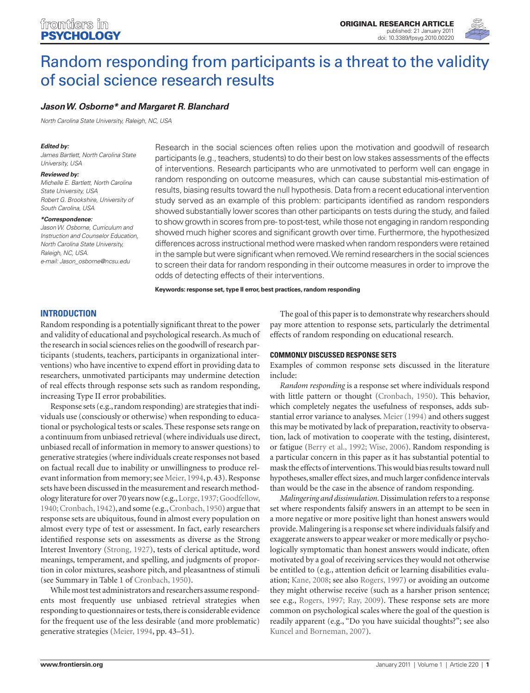

# Random responding from participants is a threat to the validity of social science research results

# *Jason W. Osborne\* and Margaret R. Blanchard*

*North Carolina State University, Raleigh, NC, USA*

#### *Edited by:*

*James Bartlett, North Carolina State University, USA*

#### *Reviewed by:*

*Michelle E. Bartlett, North Carolina State University, USA Robert G. Brookshire, University of South Carolina, USA*

#### *\*Correspondence:*

*Jason W. Osborne, Curriculum and Instruction and Counselor Education, North Carolina State University, Raleigh, NC, USA. e-mail: Jason\_osborne@ncsu.edu*

Research in the social sciences often relies upon the motivation and goodwill of research participants (e.g., teachers, students) to do their best on low stakes assessments of the effects of interventions. Research participants who are unmotivated to perform well can engage in random responding on outcome measures, which can cause substantial mis-estimation of results, biasing results toward the null hypothesis. Data from a recent educational intervention study served as an example of this problem: participants identified as random responders showed substantially lower scores than other participants on tests during the study, and failed to show growth in scores from pre- to post-test, while those not engaging in random responding showed much higher scores and significant growth over time. Furthermore, the hypothesized differences across instructional method were masked when random responders were retained in the sample but were significant when removed. We remind researchers in the social sciences to screen their data for random responding in their outcome measures in order to improve the odds of detecting effects of their interventions.

**Keywords: response set, type II error, best practices, random responding**

## **Introduction**

Random responding is a potentially significant threat to the power and validity of educational and psychological research. As much of the research in social sciences relies on the goodwill of research participants (students, teachers, participants in organizational interventions) who have incentive to expend effort in providing data to researchers, unmotivated participants may undermine detection of real effects through response sets such as random responding, increasing Type II error probabilities.

Response sets (e.g., random responding) are strategies that individuals use (consciously or otherwise) when responding to educational or psychological tests or scales. These response sets range on a continuum from unbiased retrieval (where individuals use direct, unbiased recall of information in memory to answer questions) to generative strategies (where individuals create responses not based on factual recall due to inability or unwillingness to produce relevant information from memory; see Meier, 1994, p. 43). Response sets have been discussed in the measurement and research methodology literature for over 70 years now (e.g., Lorge, 1937; Goodfellow, 1940; Cronbach, 1942), and some (e.g., Cronbach, 1950) argue that response sets are ubiquitous, found in almost every population on almost every type of test or assessment. In fact, early researchers identified response sets on assessments as diverse as the Strong Interest Inventory (Strong, 1927), tests of clerical aptitude, word meanings, temperament, and spelling, and judgments of proportion in color mixtures, seashore pitch, and pleasantness of stimuli (see Summary in Table 1 of Cronbach, 1950).

While most test administrators and researchers assume respondents most frequently use unbiased retrieval strategies when responding to questionnaires or tests, there is considerable evidence for the frequent use of the less desirable (and more problematic) generative strategies (Meier, 1994, pp. 43–51).

The goal of this paper is to demonstrate why researchers should pay more attention to response sets, particularly the detrimental effects of random responding on educational research.

## **Commonly discussed response sets**

Examples of common response sets discussed in the literature include:

*Random responding* is a response set where individuals respond with little pattern or thought (Cronbach, 1950). This behavior, which completely negates the usefulness of responses, adds substantial error variance to analyses. Meier (1994) and others suggest this may be motivated by lack of preparation, reactivity to observation, lack of motivation to cooperate with the testing, disinterest, or fatigue (Berry et al., 1992; Wise, 2006). Random responding is a particular concern in this paper as it has substantial potential to mask the effects of interventions. This would bias results toward null hypotheses, smaller effect sizes, and much larger confidence intervals than would be the case in the absence of random responding.

*Malingering and dissimulation.* Dissimulation refers to a response set where respondents falsify answers in an attempt to be seen in a more negative or more positive light than honest answers would provide. Malingering is a response set where individuals falsify and exaggerate answers to appear weaker or more medically or psychologically symptomatic than honest answers would indicate, often motivated by a goal of receiving services they would not otherwise be entitled to (e.g., attention deficit or learning disabilities evaluation; Kane, 2008; see also Rogers, 1997) or avoiding an outcome they might otherwise receive (such as a harsher prison sentence; see e.g., Rogers, 1997; Ray, 2009). These response sets are more common on psychological scales where the goal of the question is readily apparent (e.g., "Do you have suicidal thoughts?"; see also Kuncel and Borneman, 2007).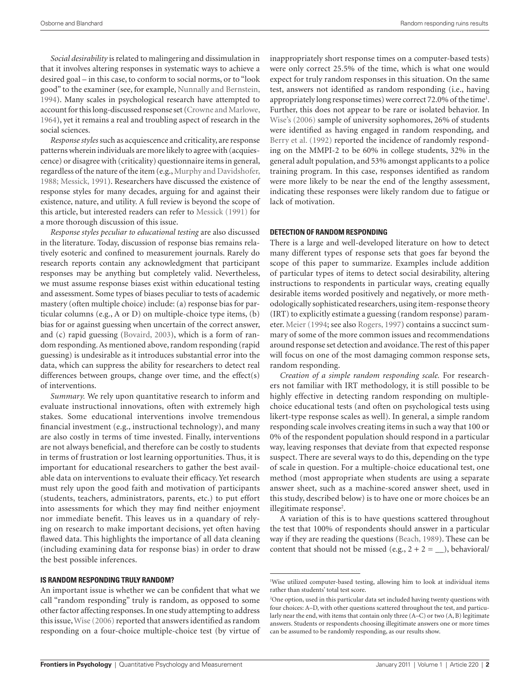*Social desirability* is related to malingering and dissimulation in that it involves altering responses in systematic ways to achieve a desired goal – in this case, to conform to social norms, or to "look good" to the examiner (see, for example, Nunnally and Bernstein, 1994). Many scales in psychological research have attempted to account for this long-discussed response set (Crowne and Marlowe, 1964), yet it remains a real and troubling aspect of research in the social sciences.

*Response styles* such as acquiescence and criticality, are response patterns wherein individuals are more likely to agree with (acquiescence) or disagree with (criticality) questionnaire items in general, regardless of the nature of the item (e.g., Murphy and Davidshofer, 1988; Messick, 1991). Researchers have discussed the existence of response styles for many decades, arguing for and against their existence, nature, and utility. A full review is beyond the scope of this article, but interested readers can refer to Messick (1991) for a more thorough discussion of this issue.

*Response styles peculiar to educational testing* are also discussed in the literature. Today, discussion of response bias remains relatively esoteric and confined to measurement journals. Rarely do research reports contain any acknowledgment that participant responses may be anything but completely valid. Nevertheless, we must assume response biases exist within educational testing and assessment. Some types of biases peculiar to tests of academic mastery (often multiple choice) include: (a) response bias for particular columns (e.g., A or D) on multiple-choice type items, (b) bias for or against guessing when uncertain of the correct answer, and (c) rapid guessing (Bovaird, 2003), which is a form of random responding. As mentioned above, random responding (rapid guessing) is undesirable as it introduces substantial error into the data, which can suppress the ability for researchers to detect real differences between groups, change over time, and the effect(s) of interventions.

*Summary.* We rely upon quantitative research to inform and evaluate instructional innovations, often with extremely high stakes. Some educational interventions involve tremendous financial investment (e.g., instructional technology), and many are also costly in terms of time invested. Finally, interventions are not always beneficial, and therefore can be costly to students in terms of frustration or lost learning opportunities. Thus, it is important for educational researchers to gather the best available data on interventions to evaluate their efficacy. Yet research must rely upon the good faith and motivation of participants (students, teachers, administrators, parents, etc.) to put effort into assessments for which they may find neither enjoyment nor immediate benefit. This leaves us in a quandary of relying on research to make important decisions, yet often having flawed data. This highlights the importance of all data cleaning (including examining data for response bias) in order to draw the best possible inferences.

## **Is random responding truly random?**

An important issue is whether we can be confident that what we call "random responding" truly is random, as opposed to some other factor affecting responses. In one study attempting to address this issue, Wise (2006) reported that answers identified as random responding on a four-choice multiple-choice test (by virtue of inappropriately short response times on a computer-based tests) were only correct 25.5% of the time, which is what one would expect for truly random responses in this situation. On the same test, answers not identified as random responding (i.e., having appropriately long response times) were correct 72.0% of the time<sup>1</sup>. Further, this does not appear to be rare or isolated behavior. In Wise's (2006) sample of university sophomores, 26% of students were identified as having engaged in random responding, and Berry et al. (1992) reported the incidence of randomly responding on the MMPI-2 to be 60% in college students, 32% in the general adult population, and 53% amongst applicants to a police training program. In this case, responses identified as random were more likely to be near the end of the lengthy assessment, indicating these responses were likely random due to fatigue or lack of motivation.

## **Detection of random responding**

There is a large and well-developed literature on how to detect many different types of response sets that goes far beyond the scope of this paper to summarize. Examples include addition of particular types of items to detect social desirability, altering instructions to respondents in particular ways, creating equally desirable items worded positively and negatively, or more methodologically sophisticated researchers, using item-response theory (IRT) to explicitly estimate a guessing (random response) parameter. Meier (1994; see also Rogers, 1997) contains a succinct summary of some of the more common issues and recommendations around response set detection and avoidance. The rest of this paper will focus on one of the most damaging common response sets, random responding.

*Creation of a simple random responding scale.* For researchers not familiar with IRT methodology, it is still possible to be highly effective in detecting random responding on multiplechoice educational tests (and often on psychological tests using likert-type response scales as well). In general, a simple random responding scale involves creating items in such a way that 100 or 0% of the respondent population should respond in a particular way, leaving responses that deviate from that expected response suspect. There are several ways to do this, depending on the type of scale in question. For a multiple-choice educational test, one method (most appropriate when students are using a separate answer sheet, such as a machine-scored answer sheet, used in this study, described below) is to have one or more choices be an illegitimate response<sup>2</sup>.

A variation of this is to have questions scattered throughout the test that 100% of respondents should answer in a particular way if they are reading the questions (Beach, 1989). These can be content that should not be missed (e.g.,  $2 + 2 = \_$ ), behavioral/

<sup>1</sup> Wise utilized computer-based testing, allowing him to look at individual items rather than students' total test score.

<sup>2</sup> One option, used in this particular data set included having twenty questions with four choices: A–D, with other questions scattered throughout the test, and particularly near the end, with items that contain only three (A–C) or two (A, B) legitimate answers. Students or respondents choosing illegitimate answers one or more times can be assumed to be randomly responding, as our results show.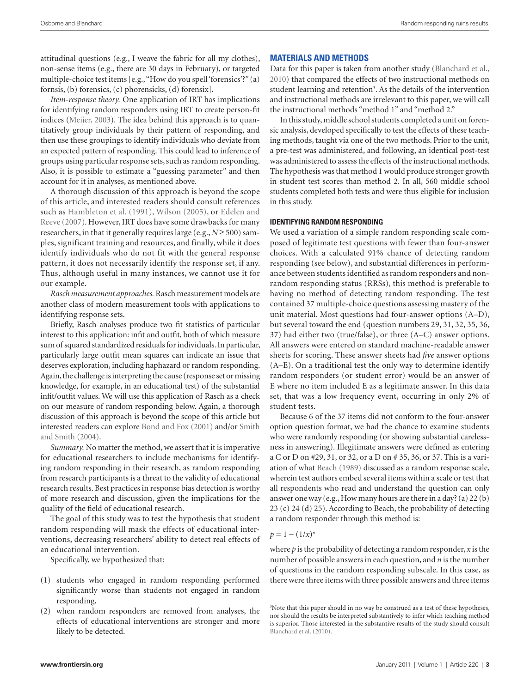attitudinal questions (e.g., I weave the fabric for all my clothes), non-sense items (e.g., there are 30 days in February), or targeted multiple-choice test items [e.g., "How do you spell 'forensics'?" (a) fornsis, (b) forensics, (c) phorensicks, (d) forensix].

*Item-response theory.* One application of IRT has implications for identifying random responders using IRT to create person-fit indices (Meijer, 2003). The idea behind this approach is to quantitatively group individuals by their pattern of responding, and then use these groupings to identify individuals who deviate from an expected pattern of responding. This could lead to inference of groups using particular response sets, such as random responding. Also, it is possible to estimate a "guessing parameter" and then account for it in analyses, as mentioned above.

A thorough discussion of this approach is beyond the scope of this article, and interested readers should consult references such as Hambleton et al. (1991), Wilson (2005), or Edelen and Reeve (2007). However, IRT does have some drawbacks for many researchers, in that it generally requires large (e.g.,  $N \ge 500$ ) samples, significant training and resources, and finally, while it does identify individuals who do not fit with the general response pattern, it does not necessarily identify the response set, if any. Thus, although useful in many instances, we cannot use it for our example.

*Rasch measurement approaches.* Rasch measurement models are another class of modern measurement tools with applications to identifying response sets.

Briefly, Rasch analyses produce two fit statistics of particular interest to this application: infit and outfit, both of which measure sum of squared standardized residuals for individuals. In particular, particularly large outfit mean squares can indicate an issue that deserves exploration, including haphazard or random responding. Again, the challenge is interpreting the cause (response set or missing knowledge, for example, in an educational test) of the substantial infit/outfit values. We will use this application of Rasch as a check on our measure of random responding below. Again, a thorough discussion of this approach is beyond the scope of this article but interested readers can explore Bond and Fox (2001) and/or Smith and Smith (2004).

*Summary.* No matter the method, we assert that it is imperative for educational researchers to include mechanisms for identifying random responding in their research, as random responding from research participants is a threat to the validity of educational research results. Best practices in response bias detection is worthy of more research and discussion, given the implications for the quality of the field of educational research.

The goal of this study was to test the hypothesis that student random responding will mask the effects of educational interventions, decreasing researchers' ability to detect real effects of an educational intervention.

Specifically, we hypothesized that:

- (1) students who engaged in random responding performed significantly worse than students not engaged in random responding,
- (2) when random responders are removed from analyses, the effects of educational interventions are stronger and more likely to be detected.

# **Materials and Methods**

Data for this paper is taken from another study (Blanchard et al., 2010) that compared the effects of two instructional methods on student learning and retention<sup>3</sup>. As the details of the intervention and instructional methods are irrelevant to this paper, we will call the instructional methods "method 1" and "method 2."

In this study, middle school students completed a unit on forensic analysis, developed specifically to test the effects of these teaching methods, taught via one of the two methods. Prior to the unit, a pre-test was administered, and following, an identical post-test was administered to assess the effects of the instructional methods. The hypothesis was that method 1 would produce stronger growth in student test scores than method 2. In all, 560 middle school students completed both tests and were thus eligible for inclusion in this study.

## **Identifying random responding**

We used a variation of a simple random responding scale composed of legitimate test questions with fewer than four-answer choices. With a calculated 91% chance of detecting random responding (see below), and substantial differences in performance between students identified as random responders and nonrandom responding status (RRSs), this method is preferable to having no method of detecting random responding. The test contained 37 multiple-choice questions assessing mastery of the unit material. Most questions had four-answer options (A–D), but several toward the end (question numbers 29, 31, 32, 35, 36, 37) had either two (true/false), or three (A–C) answer options. All answers were entered on standard machine-readable answer sheets for scoring. These answer sheets had *five* answer options (A–E). On a traditional test the only way to determine identify random responders (or student error) would be an answer of E where no item included E as a legitimate answer. In this data set, that was a low frequency event, occurring in only 2% of student tests.

Because 6 of the 37 items did not conform to the four-answer option question format, we had the chance to examine students who were randomly responding (or showing substantial carelessness in answering). Illegitimate answers were defined as entering a C or D on #29, 31, or 32, or a D on # 35, 36, or 37. This is a variation of what Beach (1989) discussed as a random response scale, wherein test authors embed several items within a scale or test that all respondents who read and understand the question can only answer one way (e.g., How many hours are there in a day? (a) 22 (b) 23 (c) 24 (d) 25). According to Beach, the probability of detecting a random responder through this method is:

 $p = 1 - (1/x)^n$ 

where *p* is the probability of detecting a random responder, *x* is the number of possible answers in each question, and *n* is the number of questions in the random responding subscale. In this case, as there were three items with three possible answers and three items

<sup>&</sup>lt;sup>3</sup>Note that this paper should in no way be construed as a test of these hypotheses, nor should the results be interpreted substantively to infer which teaching method is superior. Those interested in the substantive results of the study should consult Blanchard et al. (2010).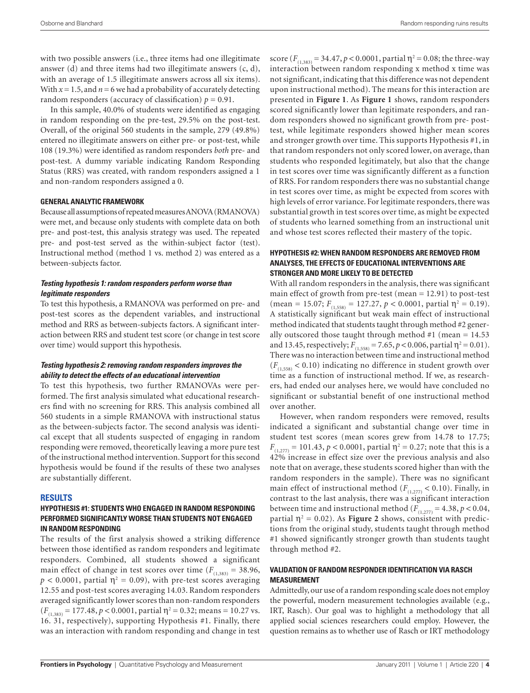with two possible answers (i.e., three items had one illegitimate answer  $(d)$  and three items had two illegitimate answers  $(c, d)$ , with an average of 1.5 illegitimate answers across all six items). With  $x = 1.5$ , and  $n = 6$  we had a probability of accurately detecting random responders (accuracy of classification)  $p = 0.91$ .

In this sample, 40.0% of students were identified as engaging in random responding on the pre-test, 29.5% on the post-test. Overall, of the original 560 students in the sample, 279 (49.8%) entered no illegitimate answers on either pre- or post-test, while 108 (19.3%) were identified as random responders *both* pre- and post-test. A dummy variable indicating Random Responding Status (RRS) was created, with random responders assigned a 1 and non-random responders assigned a 0.

## **General analytic framework**

Because all assumptions of repeated measures ANOVA (RMANOVA) were met, and because only students with complete data on both pre- and post-test, this analysis strategy was used. The repeated pre- and post-test served as the within-subject factor (test). Instructional method (method 1 vs. method 2) was entered as a between-subjects factor.

## *Testing hypothesis 1: random responders perform worse than legitimate responders*

To test this hypothesis, a RMANOVA was performed on pre- and post-test scores as the dependent variables, and instructional method and RRS as between-subjects factors. A significant interaction between RRS and student test score (or change in test score over time) would support this hypothesis.

## *Testing hypothesis 2: removing random responders improves the ability to detect the effects of an educational intervention*

To test this hypothesis, two further RMANOVAs were performed. The first analysis simulated what educational researchers find with no screening for RRS. This analysis combined all 560 students in a simple RMANOVA with instructional status as the between-subjects factor. The second analysis was identical except that all students suspected of engaging in random responding were removed, theoretically leaving a more pure test of the instructional method intervention. Support for this second hypothesis would be found if the results of these two analyses are substantially different.

#### **Results**

## **Hypothesis #1: students who engaged in random responding performed significantly worse than students not engaged in random responding**

The results of the first analysis showed a striking difference between those identified as random responders and legitimate responders. Combined, all students showed a significant main effect of change in test scores over time  $(F_{(1,383)} = 38.96,$  $p < 0.0001$ , partial  $\eta^2 = 0.09$ ), with pre-test scores averaging 12.55 and post-test scores averaging 14.03. Random responders averaged significantly lower scores than non-random responders  $(F_{(1,383)} = 177.48, p < 0.0001$ , partial  $\eta^2 = 0.32$ ; means = 10.27 vs. 16. 31, respectively), supporting Hypothesis #1. Finally, there was an interaction with random responding and change in test score  $(F_{(1,383)} = 34.47, p < 0.0001$ , partial  $\eta^2 = 0.08$ ; the three-way interaction between random responding x method x time was not significant, indicating that this difference was not dependent upon instructional method). The means for this interaction are presented in **Figure 1**. As **Figure 1** shows, random responders scored significantly lower than legitimate responders, and random responders showed no significant growth from pre- posttest, while legitimate responders showed higher mean scores and stronger growth over time. This supports Hypothesis #1, in that random responders not only scored lower, on average, than students who responded legitimately, but also that the change in test scores over time was significantly different as a function of RRS. For random responders there was no substantial change in test scores over time, as might be expected from scores with high levels of error variance. For legitimate responders, there was substantial growth in test scores over time, as might be expected of students who learned something from an instructional unit and whose test scores reflected their mastery of the topic.

## **Hypothesis #2: when random responders are removed from analyses, the effects of educational interventions are stronger and more likely to be detected**

With all random responders in the analysis, there was significant main effect of growth from pre-test (mean = 12.91) to post-test (mean = 15.07;  $F_{(1,558)} = 127.27$ ,  $p < 0.0001$ , partial  $\eta^2 = 0.19$ ). A statistically significant but weak main effect of instructional method indicated that students taught through method #2 generally outscored those taught through method #1 (mean  $= 14.53$ ) and 13.45, respectively;  $F_{(1,558)} = 7.65$ ,  $p < 0.006$ , partial  $\eta^2 = 0.01$ ). There was no interaction between time and instructional method  $(F<sub>(1,558)</sub> < 0.10)$  indicating no difference in student growth over time as a function of instructional method. If we, as researchers, had ended our analyses here, we would have concluded no significant or substantial benefit of one instructional method over another.

However, when random responders were removed, results indicated a significant and substantial change over time in student test scores (mean scores grew from 14.78 to 17.75;  $F_{(1,277)} = 101.43$ ,  $p < 0.0001$ , partial  $\eta^2 = 0.27$ ; note that this is a 42% increase in effect size over the previous analysis and also note that on average, these students scored higher than with the random responders in the sample). There was no significant main effect of instructional method ( $F_{(1,277)}$  < 0.10). Finally, in contrast to the last analysis, there was a significant interaction between time and instructional method  $(F_{(1,277)} = 4.38, p < 0.04,$ partial  $\eta^2 = 0.02$ ). As **Figure 2** shows, consistent with predictions from the original study, students taught through method #1 showed significantly stronger growth than students taught through method #2.

## **Validation of random responder identification via Rasch measurement**

Admittedly, our use of a random responding scale does not employ the powerful, modern measurement technologies available (e.g., IRT, Rasch). Our goal was to highlight a methodology that all applied social sciences researchers could employ. However, the question remains as to whether use of Rasch or IRT methodology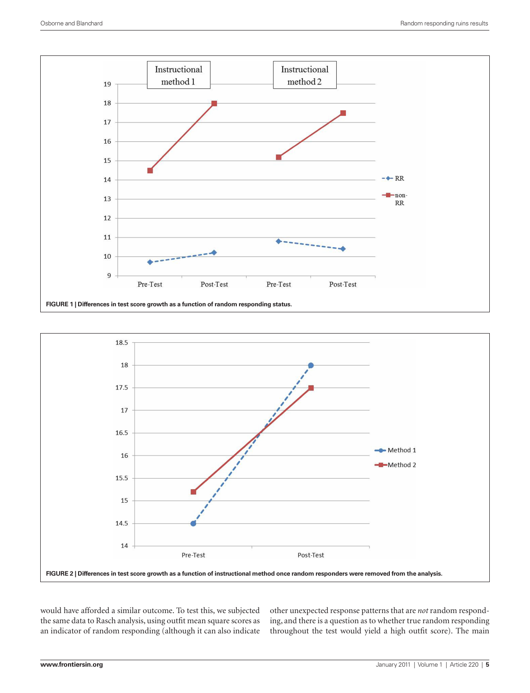



would have afforded a similar outcome. To test this, we subjected the same data to Rasch analysis, using outfit mean square scores as an indicator of random responding (although it can also indicate

other unexpected response patterns that are *not* random responding, and there is a question as to whether true random responding throughout the test would yield a high outfit score). The main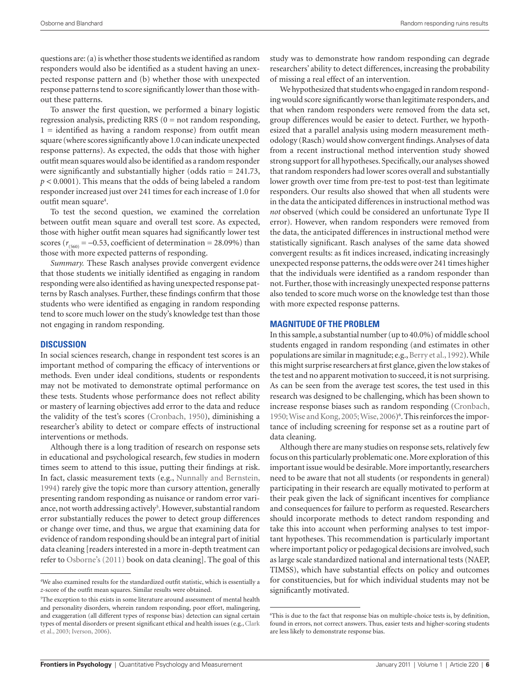questions are: (a) is whether those students we identified as random responders would also be identified as a student having an unexpected response pattern and (b) whether those with unexpected response patterns tend to score significantly lower than those without these patterns.

To answer the first question, we performed a binary logistic regression analysis, predicting RRS  $(0 = not random responding,$  $1 =$  identified as having a random response) from outfit mean square (where scores significantly above 1.0 can indicate unexpected response patterns). As expected, the odds that those with higher outfit mean squares would also be identified as a random responder were significantly and substantially higher (odds ratio = 241.73, *p* < 0.0001). This means that the odds of being labeled a random responder increased just over 241 times for each increase of 1.0 for outfit mean square<sup>4</sup>.

To test the second question, we examined the correlation between outfit mean square and overall test score. As expected, those with higher outfit mean squares had significantly lower test scores ( $r_{(560)} = -0.53$ , coefficient of determination = 28.09%) than those with more expected patterns of responding.

*Summary.* These Rasch analyses provide convergent evidence that those students we initially identified as engaging in random responding were also identified as having unexpected response patterns by Rasch analyses. Further, these findings confirm that those students who were identified as engaging in random responding tend to score much lower on the study's knowledge test than those not engaging in random responding.

## **Discussion**

In social sciences research, change in respondent test scores is an important method of comparing the efficacy of interventions or methods. Even under ideal conditions, students or respondents may not be motivated to demonstrate optimal performance on these tests. Students whose performance does not reflect ability or mastery of learning objectives add error to the data and reduce the validity of the test's scores (Cronbach, 1950), diminishing a researcher's ability to detect or compare effects of instructional interventions or methods.

Although there is a long tradition of research on response sets in educational and psychological research, few studies in modern times seem to attend to this issue, putting their findings at risk. In fact, classic measurement texts (e.g., Nunnally and Bernstein, 1994) rarely give the topic more than cursory attention, generally presenting random responding as nuisance or random error variance, not worth addressing actively<sup>5</sup>. However, substantial random error substantially reduces the power to detect group differences or change over time, and thus, we argue that examining data for evidence of random responding should be an integral part of initial data cleaning [readers interested in a more in-depth treatment can refer to Osborne's (2011) book on data cleaning]. The goal of this

study was to demonstrate how random responding can degrade researchers' ability to detect differences, increasing the probability of missing a real effect of an intervention.

We hypothesized that students who engaged in random responding would score significantly worse than legitimate responders, and that when random responders were removed from the data set, group differences would be easier to detect. Further, we hypothesized that a parallel analysis using modern measurement methodology (Rasch) would show convergent findings. Analyses of data from a recent instructional method intervention study showed strong support for all hypotheses. Specifically, our analyses showed that random responders had lower scores overall and substantially lower growth over time from pre-test to post-test than legitimate responders. Our results also showed that when all students were in the data the anticipated differences in instructional method was *not* observed (which could be considered an unfortunate Type II error). However, when random responders were removed from the data, the anticipated differences in instructional method were statistically significant. Rasch analyses of the same data showed convergent results: as fit indices increased, indicating increasingly unexpected response patterns, the odds were over 241 times higher that the individuals were identified as a random responder than not. Further, those with increasingly unexpected response patterns also tended to score much worse on the knowledge test than those with more expected response patterns.

## **Magnitude of the problem**

In this sample, a substantial number (up to 40.0%) of middle school students engaged in random responding (and estimates in other populations are similar in magnitude; e.g., Berry et al., 1992). While this might surprise researchers at first glance, given the low stakes of the test and no apparent motivation to succeed, it is not surprising. As can be seen from the average test scores, the test used in this research was designed to be challenging, which has been shown to increase response biases such as random responding (Cronbach, 1950; Wise and Kong, 2005; Wise, 2006)<sup>6</sup>. This reinforces the importance of including screening for response set as a routine part of data cleaning.

Although there are many studies on response sets, relatively few focus on this particularly problematic one. More exploration of this important issue would be desirable. More importantly, researchers need to be aware that not all students (or respondents in general) participating in their research are equally motivated to perform at their peak given the lack of significant incentives for compliance and consequences for failure to perform as requested. Researchers should incorporate methods to detect random responding and take this into account when performing analyses to test important hypotheses. This recommendation is particularly important where important policy or pedagogical decisions are involved, such as large scale standardized national and international tests (NAEP, TIMSS), which have substantial effects on policy and outcomes for constituencies, but for which individual students may not be significantly motivated.

<sup>4</sup> We also examined results for the standardized outfit statistic, which is essentially a *z-*score of the outfit mean squares. Similar results were obtained.

<sup>5</sup> The exception to this exists in some literature around assessment of mental health and personality disorders, wherein random responding, poor effort, malingering, and exaggeration (all different types of response bias) detection can signal certain types of mental disorders or present significant ethical and health issues (e.g., Clark et al., 2003; Iverson, 2006).

<sup>6</sup> This is due to the fact that response bias on multiple-choice tests is, by definition, found in errors, not correct answers. Thus, easier tests and higher-scoring students are less likely to demonstrate response bias.